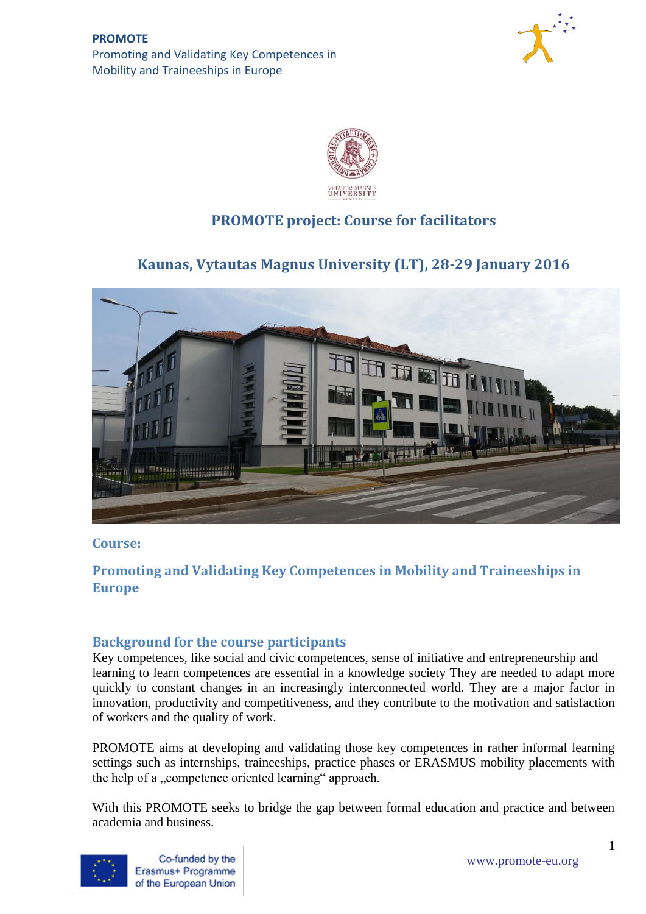



# **PROMOTE project: Course for facilitators**

# **Kaunas, Vytautas Magnus University (LT), 28-29 January 2016**



### **Course:**

## **Promoting and Validating Key Competences in Mobility and Traineeships in Europe**

## **Background for the course participants**

Key competences, like social and civic competences, sense of initiative and entrepreneurship and learning to learn competences are essential in a knowledge society They are needed to adapt more quickly to constant changes in an increasingly interconnected world. They are a major factor in innovation, productivity and competitiveness, and they contribute to the motivation and satisfaction of workers and the quality of work.

PROMOTE aims at developing and validating those key competences in rather informal learning settings such as internships, traineeships, practice phases or ERASMUS mobility placements with the help of a "competence oriented learning" approach.

With this PROMOTE seeks to bridge the gap between formal education and practice and between academia and business.



Co-funded by the www.promote-eu.org<br>
Erasmus+ Programme of the European Union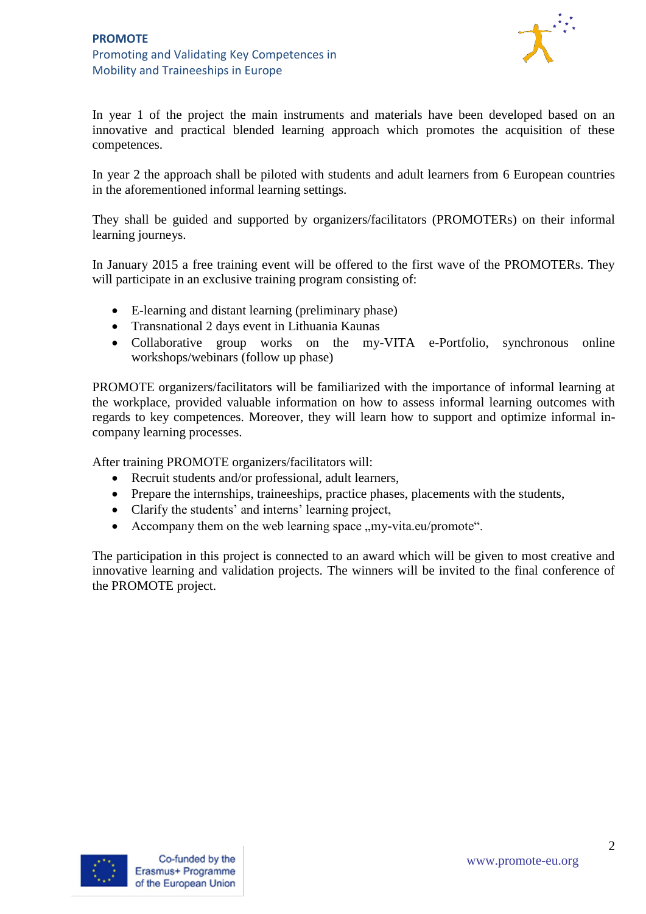

In year 1 of the project the main instruments and materials have been developed based on an innovative and practical blended learning approach which promotes the acquisition of these competences.

In year 2 the approach shall be piloted with students and adult learners from 6 European countries in the aforementioned informal learning settings.

They shall be guided and supported by organizers/facilitators (PROMOTERs) on their informal learning journeys.

In January 2015 a free training event will be offered to the first wave of the PROMOTERs. They will participate in an exclusive training program consisting of:

- E-learning and distant learning (preliminary phase)
- Transnational 2 days event in Lithuania Kaunas
- Collaborative group works on the my-VITA e-Portfolio, synchronous online workshops/webinars (follow up phase)

PROMOTE organizers/facilitators will be familiarized with the importance of informal learning at the workplace, provided valuable information on how to assess informal learning outcomes with regards to key competences. Moreover, they will learn how to support and optimize informal incompany learning processes.

After training PROMOTE organizers/facilitators will:

- Recruit students and/or professional, adult learners,
- Prepare the internships, traineeships, practice phases, placements with the students,
- Clarify the students' and interns' learning project,
- Accompany them on the web learning space  $,my$ -vita.eu/promote...

The participation in this project is connected to an award which will be given to most creative and innovative learning and validation projects. The winners will be invited to the final conference of the PROMOTE project.

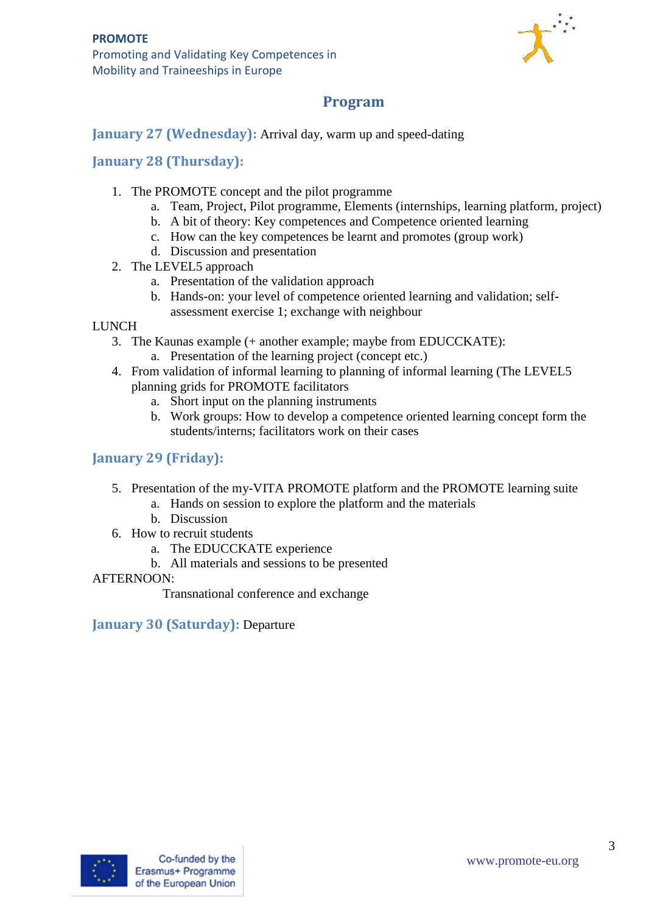Promoting and Validating Key Competences in Mobility and Traineeships in Europe



## **Program**

## **January 27 (Wednesday):** Arrival day, warm up and speed-dating

## **January 28 (Thursday):**

- 1. The PROMOTE concept and the pilot programme
	- a. Team, Project, Pilot programme, Elements (internships, learning platform, project)
	- b. A bit of theory: Key competences and Competence oriented learning
	- c. How can the key competences be learnt and promotes (group work)
	- d. Discussion and presentation
- 2. The LEVEL5 approach
	- a. Presentation of the validation approach
	- b. Hands-on: your level of competence oriented learning and validation; selfassessment exercise 1; exchange with neighbour

### **LUNCH**

- 3. The Kaunas example (+ another example; maybe from EDUCCKATE):
	- a. Presentation of the learning project (concept etc.)
- 4. From validation of informal learning to planning of informal learning (The LEVEL5 planning grids for PROMOTE facilitators
	- a. Short input on the planning instruments
	- b. Work groups: How to develop a competence oriented learning concept form the students/interns; facilitators work on their cases

## **January 29 (Friday):**

- 5. Presentation of the my-VITA PROMOTE platform and the PROMOTE learning suite
	- a. Hands on session to explore the platform and the materials
	- b. Discussion
- 6. How to recruit students
	- a. The EDUCCKATE experience
	- b. All materials and sessions to be presented

### AFTERNOON:

Transnational conference and exchange

**January 30 (Saturday):** Departure